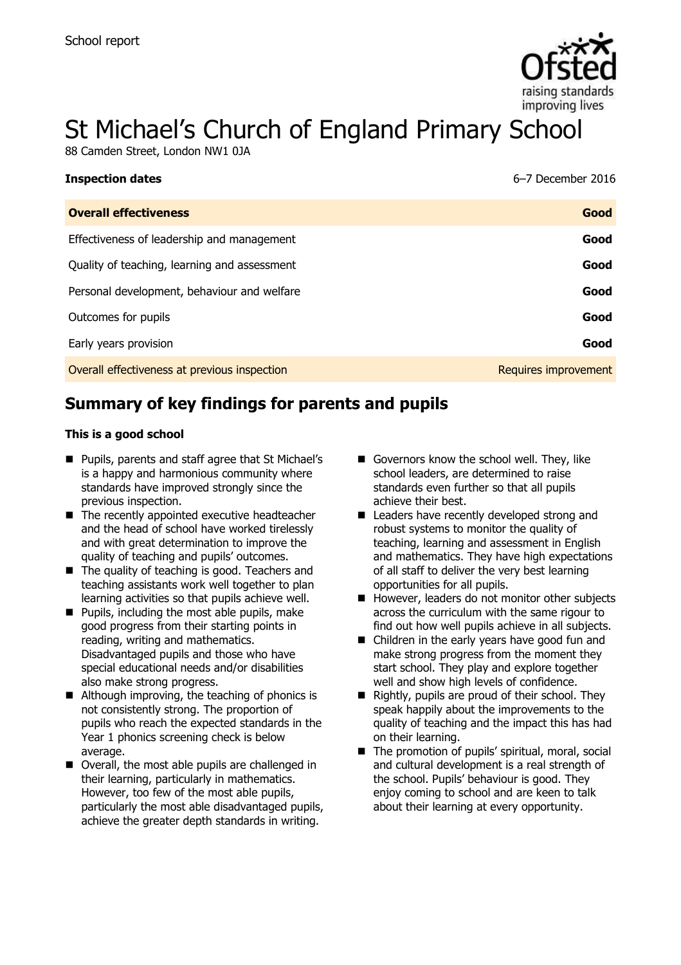

# St Michael's Church of England Primary School

88 Camden Street, London NW1 0JA

| <b>Inspection dates</b>                      | 6-7 December 2016    |
|----------------------------------------------|----------------------|
| <b>Overall effectiveness</b>                 | Good                 |
| Effectiveness of leadership and management   | Good                 |
| Quality of teaching, learning and assessment | Good                 |
| Personal development, behaviour and welfare  | Good                 |
| Outcomes for pupils                          | Good                 |
| Early years provision                        | Good                 |
| Overall effectiveness at previous inspection | Requires improvement |

# **Summary of key findings for parents and pupils**

#### **This is a good school**

- Pupils, parents and staff agree that St Michael's is a happy and harmonious community where standards have improved strongly since the previous inspection.
- $\blacksquare$  The recently appointed executive headteacher and the head of school have worked tirelessly and with great determination to improve the quality of teaching and pupils' outcomes.
- The quality of teaching is good. Teachers and teaching assistants work well together to plan learning activities so that pupils achieve well.
- $\blacksquare$  Pupils, including the most able pupils, make good progress from their starting points in reading, writing and mathematics. Disadvantaged pupils and those who have special educational needs and/or disabilities also make strong progress.
- Although improving, the teaching of phonics is not consistently strong. The proportion of pupils who reach the expected standards in the Year 1 phonics screening check is below average.
- Overall, the most able pupils are challenged in their learning, particularly in mathematics. However, too few of the most able pupils, particularly the most able disadvantaged pupils, achieve the greater depth standards in writing.
- Governors know the school well. They, like school leaders, are determined to raise standards even further so that all pupils achieve their best.
- Leaders have recently developed strong and robust systems to monitor the quality of teaching, learning and assessment in English and mathematics. They have high expectations of all staff to deliver the very best learning opportunities for all pupils.
- However, leaders do not monitor other subjects across the curriculum with the same rigour to find out how well pupils achieve in all subjects.
- Children in the early years have good fun and make strong progress from the moment they start school. They play and explore together well and show high levels of confidence.
- $\blacksquare$  Rightly, pupils are proud of their school. They speak happily about the improvements to the quality of teaching and the impact this has had on their learning.
- The promotion of pupils' spiritual, moral, social and cultural development is a real strength of the school. Pupils' behaviour is good. They enjoy coming to school and are keen to talk about their learning at every opportunity.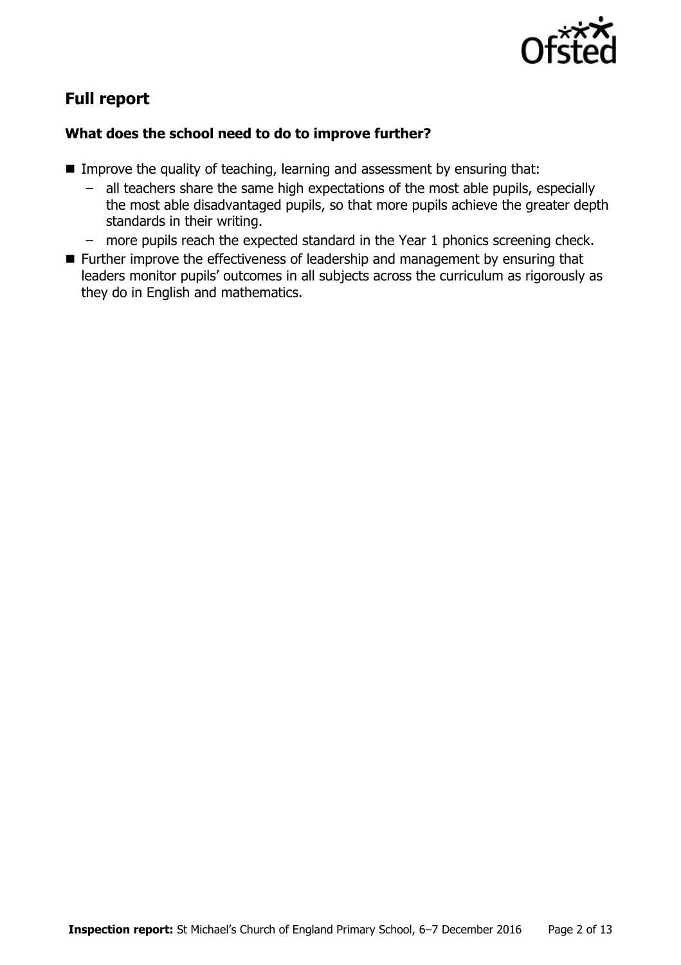

# **Full report**

### **What does the school need to do to improve further?**

- Improve the quality of teaching, learning and assessment by ensuring that:
	- all teachers share the same high expectations of the most able pupils, especially the most able disadvantaged pupils, so that more pupils achieve the greater depth standards in their writing.
	- more pupils reach the expected standard in the Year 1 phonics screening check.
- Further improve the effectiveness of leadership and management by ensuring that leaders monitor pupils' outcomes in all subjects across the curriculum as rigorously as they do in English and mathematics.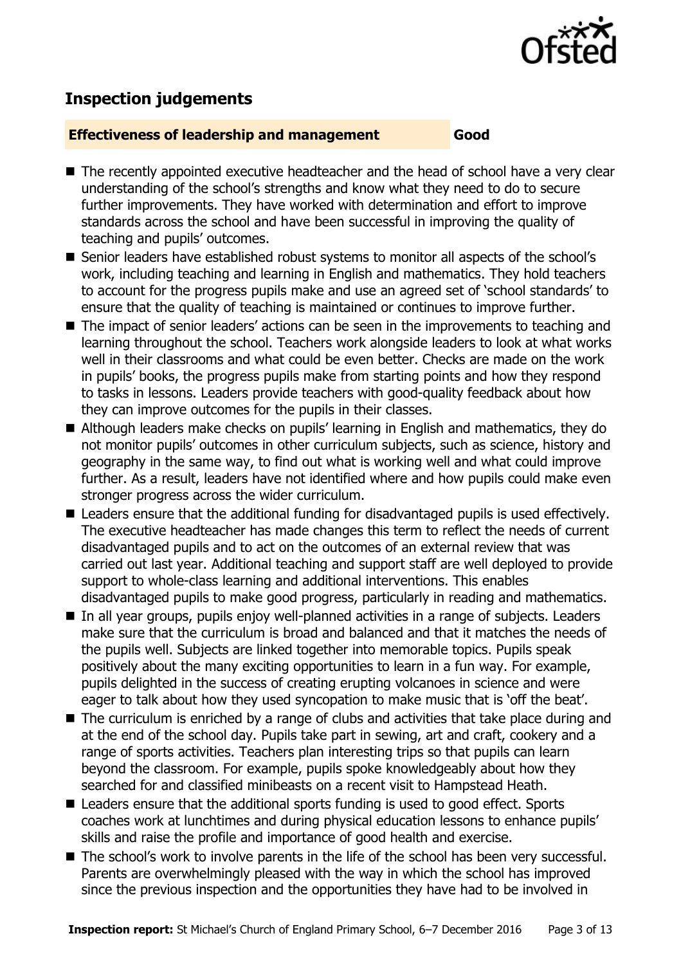

## **Inspection judgements**

#### **Effectiveness of leadership and management Good**

- The recently appointed executive headteacher and the head of school have a very clear understanding of the school's strengths and know what they need to do to secure further improvements. They have worked with determination and effort to improve standards across the school and have been successful in improving the quality of teaching and pupils' outcomes.
- Senior leaders have established robust systems to monitor all aspects of the school's work, including teaching and learning in English and mathematics. They hold teachers to account for the progress pupils make and use an agreed set of 'school standards' to ensure that the quality of teaching is maintained or continues to improve further.
- The impact of senior leaders' actions can be seen in the improvements to teaching and learning throughout the school. Teachers work alongside leaders to look at what works well in their classrooms and what could be even better. Checks are made on the work in pupils' books, the progress pupils make from starting points and how they respond to tasks in lessons. Leaders provide teachers with good-quality feedback about how they can improve outcomes for the pupils in their classes.
- Although leaders make checks on pupils' learning in English and mathematics, they do not monitor pupils' outcomes in other curriculum subjects, such as science, history and geography in the same way, to find out what is working well and what could improve further. As a result, leaders have not identified where and how pupils could make even stronger progress across the wider curriculum.
- Leaders ensure that the additional funding for disadvantaged pupils is used effectively. The executive headteacher has made changes this term to reflect the needs of current disadvantaged pupils and to act on the outcomes of an external review that was carried out last year. Additional teaching and support staff are well deployed to provide support to whole-class learning and additional interventions. This enables disadvantaged pupils to make good progress, particularly in reading and mathematics.
- In all year groups, pupils enjoy well-planned activities in a range of subjects. Leaders make sure that the curriculum is broad and balanced and that it matches the needs of the pupils well. Subjects are linked together into memorable topics. Pupils speak positively about the many exciting opportunities to learn in a fun way. For example, pupils delighted in the success of creating erupting volcanoes in science and were eager to talk about how they used syncopation to make music that is 'off the beat'.
- The curriculum is enriched by a range of clubs and activities that take place during and at the end of the school day. Pupils take part in sewing, art and craft, cookery and a range of sports activities. Teachers plan interesting trips so that pupils can learn beyond the classroom. For example, pupils spoke knowledgeably about how they searched for and classified minibeasts on a recent visit to Hampstead Heath.
- Leaders ensure that the additional sports funding is used to good effect. Sports coaches work at lunchtimes and during physical education lessons to enhance pupils' skills and raise the profile and importance of good health and exercise.
- The school's work to involve parents in the life of the school has been very successful. Parents are overwhelmingly pleased with the way in which the school has improved since the previous inspection and the opportunities they have had to be involved in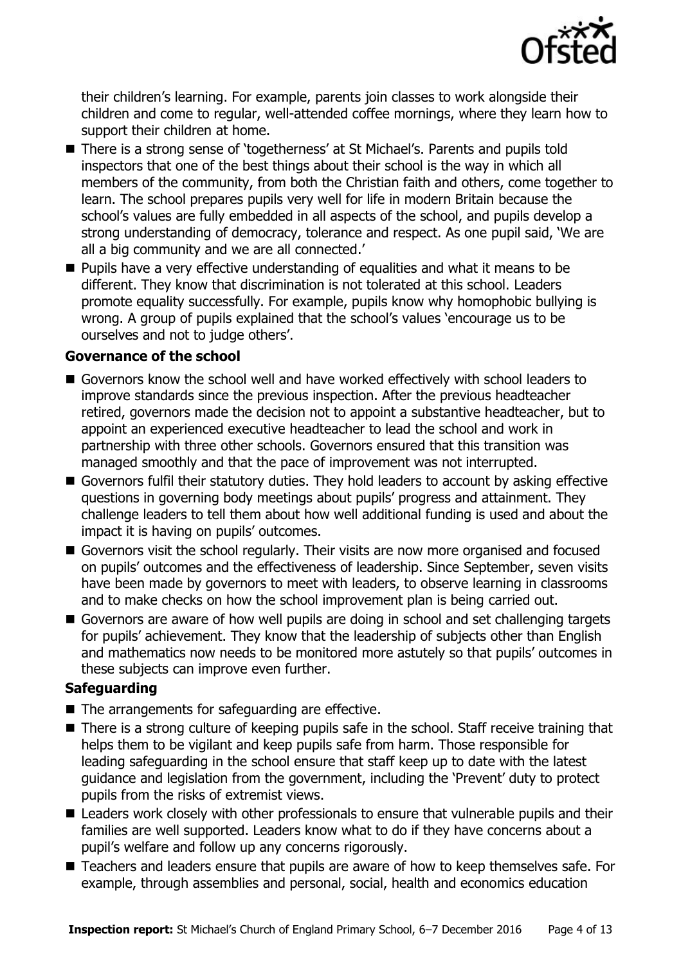

their children's learning. For example, parents join classes to work alongside their children and come to regular, well-attended coffee mornings, where they learn how to support their children at home.

- There is a strong sense of 'togetherness' at St Michael's. Parents and pupils told inspectors that one of the best things about their school is the way in which all members of the community, from both the Christian faith and others, come together to learn. The school prepares pupils very well for life in modern Britain because the school's values are fully embedded in all aspects of the school, and pupils develop a strong understanding of democracy, tolerance and respect. As one pupil said, 'We are all a big community and we are all connected.'
- **Pupils have a very effective understanding of equalities and what it means to be** different. They know that discrimination is not tolerated at this school. Leaders promote equality successfully. For example, pupils know why homophobic bullying is wrong. A group of pupils explained that the school's values 'encourage us to be ourselves and not to judge others'.

#### **Governance of the school**

- Governors know the school well and have worked effectively with school leaders to improve standards since the previous inspection. After the previous headteacher retired, governors made the decision not to appoint a substantive headteacher, but to appoint an experienced executive headteacher to lead the school and work in partnership with three other schools. Governors ensured that this transition was managed smoothly and that the pace of improvement was not interrupted.
- Governors fulfil their statutory duties. They hold leaders to account by asking effective questions in governing body meetings about pupils' progress and attainment. They challenge leaders to tell them about how well additional funding is used and about the impact it is having on pupils' outcomes.
- Governors visit the school regularly. Their visits are now more organised and focused on pupils' outcomes and the effectiveness of leadership. Since September, seven visits have been made by governors to meet with leaders, to observe learning in classrooms and to make checks on how the school improvement plan is being carried out.
- Governors are aware of how well pupils are doing in school and set challenging targets for pupils' achievement. They know that the leadership of subjects other than English and mathematics now needs to be monitored more astutely so that pupils' outcomes in these subjects can improve even further.

### **Safeguarding**

- The arrangements for safeguarding are effective.
- There is a strong culture of keeping pupils safe in the school. Staff receive training that helps them to be vigilant and keep pupils safe from harm. Those responsible for leading safeguarding in the school ensure that staff keep up to date with the latest guidance and legislation from the government, including the 'Prevent' duty to protect pupils from the risks of extremist views.
- **E** Leaders work closely with other professionals to ensure that vulnerable pupils and their families are well supported. Leaders know what to do if they have concerns about a pupil's welfare and follow up any concerns rigorously.
- Teachers and leaders ensure that pupils are aware of how to keep themselves safe. For example, through assemblies and personal, social, health and economics education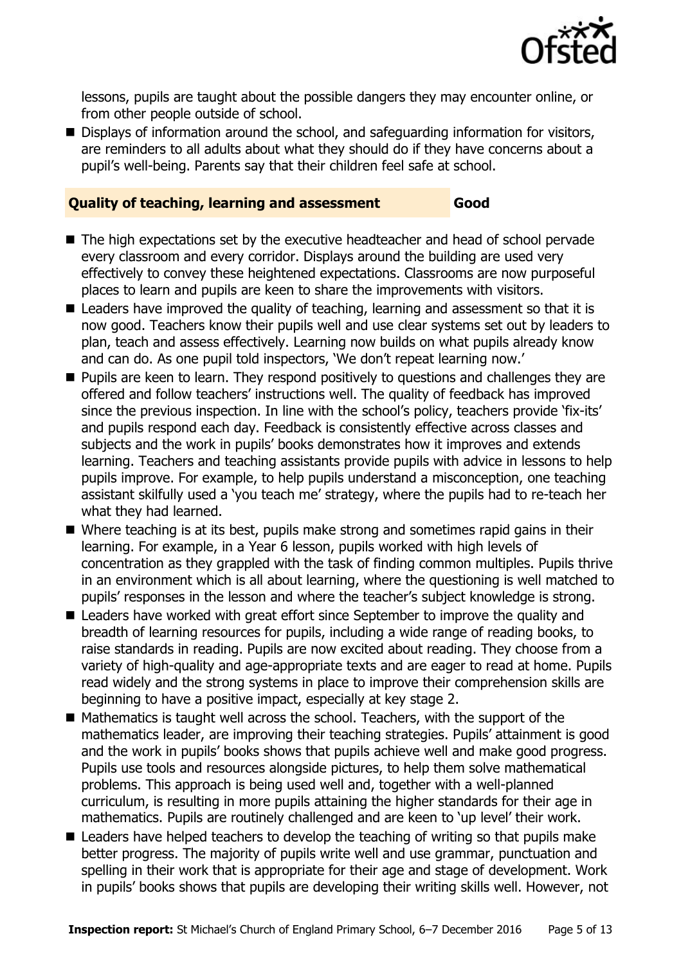

lessons, pupils are taught about the possible dangers they may encounter online, or from other people outside of school.

Displays of information around the school, and safeguarding information for visitors, are reminders to all adults about what they should do if they have concerns about a pupil's well-being. Parents say that their children feel safe at school.

#### **Quality of teaching, learning and assessment Good**

- The high expectations set by the executive headteacher and head of school pervade every classroom and every corridor. Displays around the building are used very effectively to convey these heightened expectations. Classrooms are now purposeful places to learn and pupils are keen to share the improvements with visitors.
- Leaders have improved the quality of teaching, learning and assessment so that it is now good. Teachers know their pupils well and use clear systems set out by leaders to plan, teach and assess effectively. Learning now builds on what pupils already know and can do. As one pupil told inspectors, 'We don't repeat learning now.'
- **Pupils are keen to learn. They respond positively to questions and challenges they are** offered and follow teachers' instructions well. The quality of feedback has improved since the previous inspection. In line with the school's policy, teachers provide 'fix-its' and pupils respond each day. Feedback is consistently effective across classes and subjects and the work in pupils' books demonstrates how it improves and extends learning. Teachers and teaching assistants provide pupils with advice in lessons to help pupils improve. For example, to help pupils understand a misconception, one teaching assistant skilfully used a 'you teach me' strategy, where the pupils had to re-teach her what they had learned.
- Where teaching is at its best, pupils make strong and sometimes rapid gains in their learning. For example, in a Year 6 lesson, pupils worked with high levels of concentration as they grappled with the task of finding common multiples. Pupils thrive in an environment which is all about learning, where the questioning is well matched to pupils' responses in the lesson and where the teacher's subject knowledge is strong.
- Leaders have worked with great effort since September to improve the quality and breadth of learning resources for pupils, including a wide range of reading books, to raise standards in reading. Pupils are now excited about reading. They choose from a variety of high-quality and age-appropriate texts and are eager to read at home. Pupils read widely and the strong systems in place to improve their comprehension skills are beginning to have a positive impact, especially at key stage 2.
- Mathematics is taught well across the school. Teachers, with the support of the mathematics leader, are improving their teaching strategies. Pupils' attainment is good and the work in pupils' books shows that pupils achieve well and make good progress. Pupils use tools and resources alongside pictures, to help them solve mathematical problems. This approach is being used well and, together with a well-planned curriculum, is resulting in more pupils attaining the higher standards for their age in mathematics. Pupils are routinely challenged and are keen to 'up level' their work.
- Leaders have helped teachers to develop the teaching of writing so that pupils make better progress. The majority of pupils write well and use grammar, punctuation and spelling in their work that is appropriate for their age and stage of development. Work in pupils' books shows that pupils are developing their writing skills well. However, not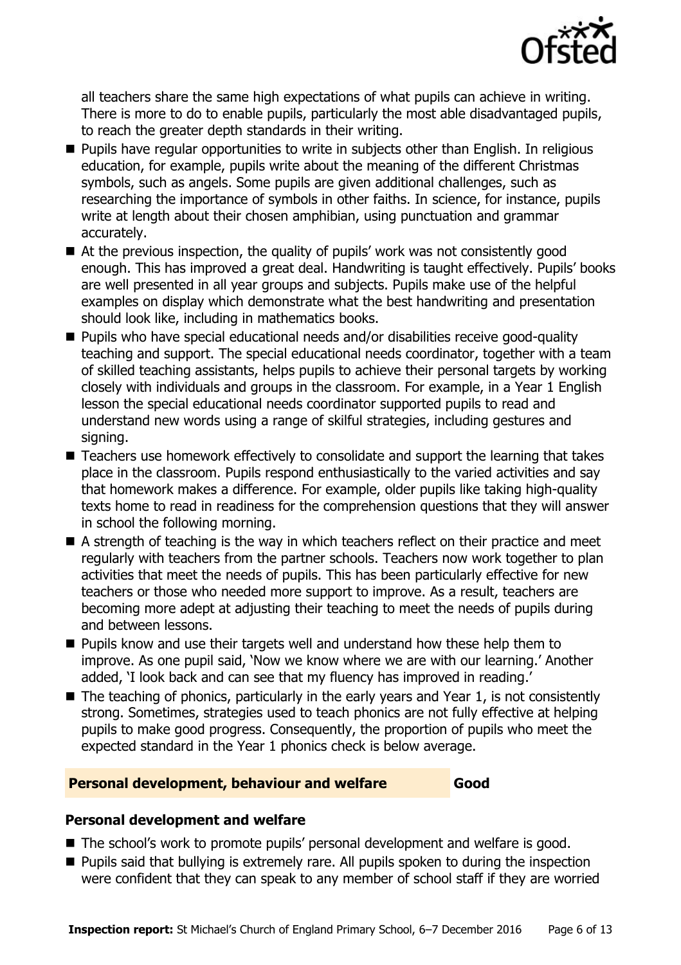

all teachers share the same high expectations of what pupils can achieve in writing. There is more to do to enable pupils, particularly the most able disadvantaged pupils, to reach the greater depth standards in their writing.

- **Pupils have regular opportunities to write in subjects other than English. In religious** education, for example, pupils write about the meaning of the different Christmas symbols, such as angels. Some pupils are given additional challenges, such as researching the importance of symbols in other faiths. In science, for instance, pupils write at length about their chosen amphibian, using punctuation and grammar accurately.
- At the previous inspection, the quality of pupils' work was not consistently good enough. This has improved a great deal. Handwriting is taught effectively. Pupils' books are well presented in all year groups and subjects. Pupils make use of the helpful examples on display which demonstrate what the best handwriting and presentation should look like, including in mathematics books.
- Pupils who have special educational needs and/or disabilities receive good-quality teaching and support. The special educational needs coordinator, together with a team of skilled teaching assistants, helps pupils to achieve their personal targets by working closely with individuals and groups in the classroom. For example, in a Year 1 English lesson the special educational needs coordinator supported pupils to read and understand new words using a range of skilful strategies, including gestures and signing.
- Teachers use homework effectively to consolidate and support the learning that takes place in the classroom. Pupils respond enthusiastically to the varied activities and say that homework makes a difference. For example, older pupils like taking high-quality texts home to read in readiness for the comprehension questions that they will answer in school the following morning.
- A strength of teaching is the way in which teachers reflect on their practice and meet regularly with teachers from the partner schools. Teachers now work together to plan activities that meet the needs of pupils. This has been particularly effective for new teachers or those who needed more support to improve. As a result, teachers are becoming more adept at adjusting their teaching to meet the needs of pupils during and between lessons.
- **Pupils know and use their targets well and understand how these help them to** improve. As one pupil said, 'Now we know where we are with our learning.' Another added, 'I look back and can see that my fluency has improved in reading.'
- $\blacksquare$  The teaching of phonics, particularly in the early years and Year 1, is not consistently strong. Sometimes, strategies used to teach phonics are not fully effective at helping pupils to make good progress. Consequently, the proportion of pupils who meet the expected standard in the Year 1 phonics check is below average.

#### **Personal development, behaviour and welfare Good**

### **Personal development and welfare**

- The school's work to promote pupils' personal development and welfare is good.
- **Pupils said that bullying is extremely rare. All pupils spoken to during the inspection** were confident that they can speak to any member of school staff if they are worried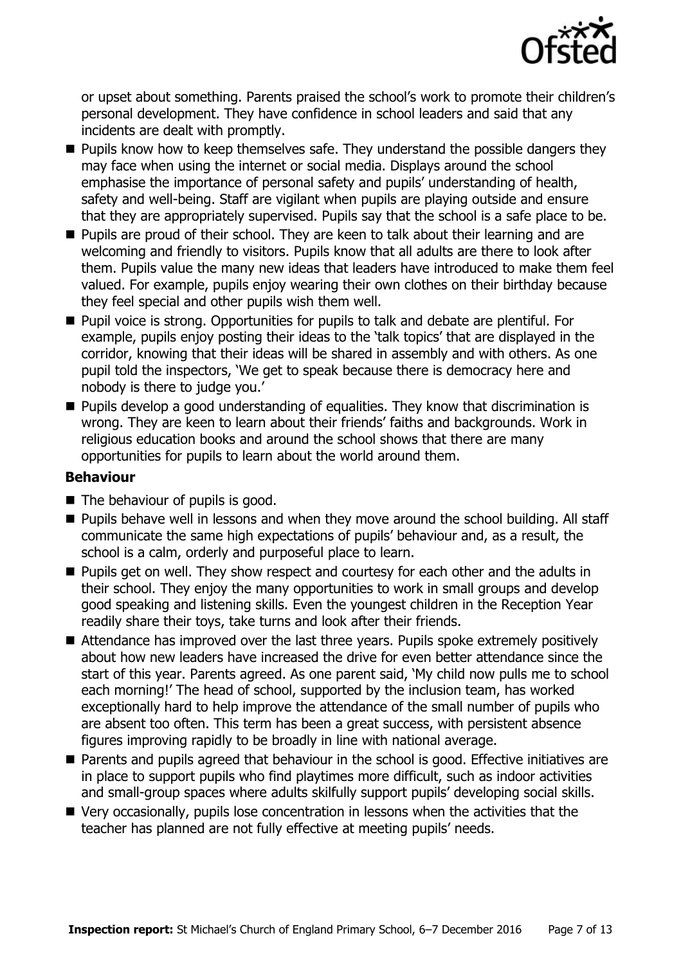

or upset about something. Parents praised the school's work to promote their children's personal development. They have confidence in school leaders and said that any incidents are dealt with promptly.

- **Pupils know how to keep themselves safe. They understand the possible dangers they** may face when using the internet or social media. Displays around the school emphasise the importance of personal safety and pupils' understanding of health, safety and well-being. Staff are vigilant when pupils are playing outside and ensure that they are appropriately supervised. Pupils say that the school is a safe place to be.
- **Pupils are proud of their school. They are keen to talk about their learning and are** welcoming and friendly to visitors. Pupils know that all adults are there to look after them. Pupils value the many new ideas that leaders have introduced to make them feel valued. For example, pupils enjoy wearing their own clothes on their birthday because they feel special and other pupils wish them well.
- Pupil voice is strong. Opportunities for pupils to talk and debate are plentiful. For example, pupils enjoy posting their ideas to the 'talk topics' that are displayed in the corridor, knowing that their ideas will be shared in assembly and with others. As one pupil told the inspectors, 'We get to speak because there is democracy here and nobody is there to judge you.'
- **Pupils develop a good understanding of equalities. They know that discrimination is** wrong. They are keen to learn about their friends' faiths and backgrounds. Work in religious education books and around the school shows that there are many opportunities for pupils to learn about the world around them.

#### **Behaviour**

- The behaviour of pupils is good.
- **Pupils behave well in lessons and when they move around the school building. All staff** communicate the same high expectations of pupils' behaviour and, as a result, the school is a calm, orderly and purposeful place to learn.
- **Pupils get on well. They show respect and courtesy for each other and the adults in** their school. They enjoy the many opportunities to work in small groups and develop good speaking and listening skills. Even the youngest children in the Reception Year readily share their toys, take turns and look after their friends.
- Attendance has improved over the last three vears. Pupils spoke extremely positively about how new leaders have increased the drive for even better attendance since the start of this year. Parents agreed. As one parent said, 'My child now pulls me to school each morning!' The head of school, supported by the inclusion team, has worked exceptionally hard to help improve the attendance of the small number of pupils who are absent too often. This term has been a great success, with persistent absence figures improving rapidly to be broadly in line with national average.
- **Parents and pupils agreed that behaviour in the school is good. Effective initiatives are** in place to support pupils who find playtimes more difficult, such as indoor activities and small-group spaces where adults skilfully support pupils' developing social skills.
- Very occasionally, pupils lose concentration in lessons when the activities that the teacher has planned are not fully effective at meeting pupils' needs.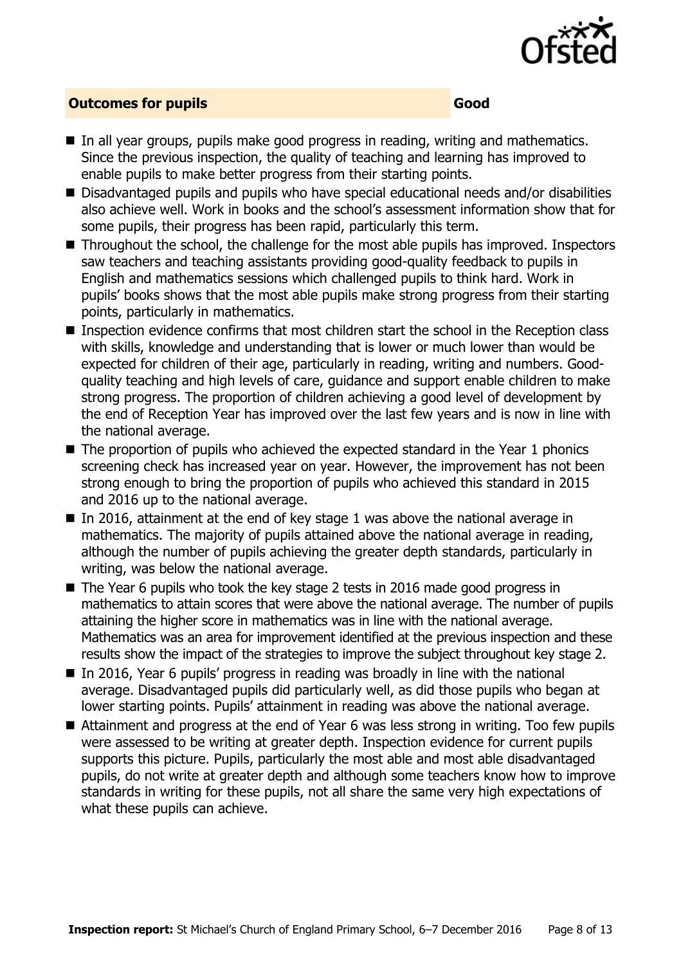

### **Outcomes for pupils Good Good**

- In all year groups, pupils make good progress in reading, writing and mathematics. Since the previous inspection, the quality of teaching and learning has improved to enable pupils to make better progress from their starting points.
- Disadvantaged pupils and pupils who have special educational needs and/or disabilities also achieve well. Work in books and the school's assessment information show that for some pupils, their progress has been rapid, particularly this term.
- Throughout the school, the challenge for the most able pupils has improved. Inspectors saw teachers and teaching assistants providing good-quality feedback to pupils in English and mathematics sessions which challenged pupils to think hard. Work in pupils' books shows that the most able pupils make strong progress from their starting points, particularly in mathematics.
- Inspection evidence confirms that most children start the school in the Reception class with skills, knowledge and understanding that is lower or much lower than would be expected for children of their age, particularly in reading, writing and numbers. Goodquality teaching and high levels of care, guidance and support enable children to make strong progress. The proportion of children achieving a good level of development by the end of Reception Year has improved over the last few years and is now in line with the national average.
- The proportion of pupils who achieved the expected standard in the Year 1 phonics screening check has increased year on year. However, the improvement has not been strong enough to bring the proportion of pupils who achieved this standard in 2015 and 2016 up to the national average.
- In 2016, attainment at the end of key stage 1 was above the national average in mathematics. The majority of pupils attained above the national average in reading, although the number of pupils achieving the greater depth standards, particularly in writing, was below the national average.
- The Year 6 pupils who took the key stage 2 tests in 2016 made good progress in mathematics to attain scores that were above the national average. The number of pupils attaining the higher score in mathematics was in line with the national average. Mathematics was an area for improvement identified at the previous inspection and these results show the impact of the strategies to improve the subject throughout key stage 2.
- In 2016, Year 6 pupils' progress in reading was broadly in line with the national average. Disadvantaged pupils did particularly well, as did those pupils who began at lower starting points. Pupils' attainment in reading was above the national average.
- Attainment and progress at the end of Year 6 was less strong in writing. Too few pupils were assessed to be writing at greater depth. Inspection evidence for current pupils supports this picture. Pupils, particularly the most able and most able disadvantaged pupils, do not write at greater depth and although some teachers know how to improve standards in writing for these pupils, not all share the same very high expectations of what these pupils can achieve.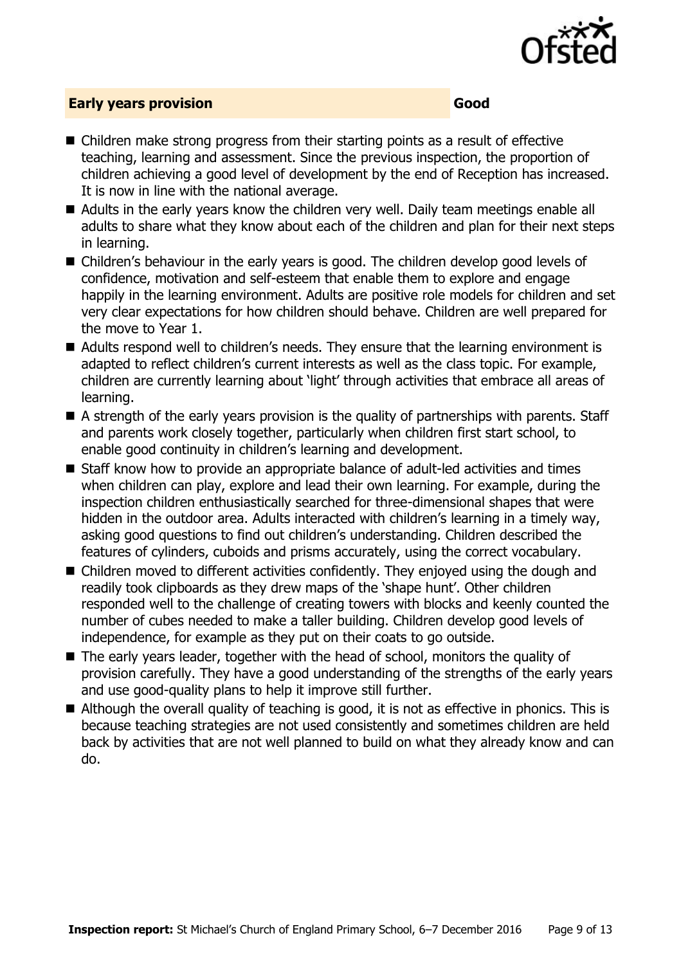

### **Early years provision Good**

- Children make strong progress from their starting points as a result of effective teaching, learning and assessment. Since the previous inspection, the proportion of children achieving a good level of development by the end of Reception has increased. It is now in line with the national average.
- Adults in the early years know the children very well. Daily team meetings enable all adults to share what they know about each of the children and plan for their next steps in learning.
- Children's behaviour in the early years is good. The children develop good levels of confidence, motivation and self-esteem that enable them to explore and engage happily in the learning environment. Adults are positive role models for children and set very clear expectations for how children should behave. Children are well prepared for the move to Year 1.
- Adults respond well to children's needs. They ensure that the learning environment is adapted to reflect children's current interests as well as the class topic. For example, children are currently learning about 'light' through activities that embrace all areas of learning.
- A strength of the early years provision is the quality of partnerships with parents. Staff and parents work closely together, particularly when children first start school, to enable good continuity in children's learning and development.
- Staff know how to provide an appropriate balance of adult-led activities and times when children can play, explore and lead their own learning. For example, during the inspection children enthusiastically searched for three-dimensional shapes that were hidden in the outdoor area. Adults interacted with children's learning in a timely way, asking good questions to find out children's understanding. Children described the features of cylinders, cuboids and prisms accurately, using the correct vocabulary.
- Children moved to different activities confidently. They enjoyed using the dough and readily took clipboards as they drew maps of the 'shape hunt'. Other children responded well to the challenge of creating towers with blocks and keenly counted the number of cubes needed to make a taller building. Children develop good levels of independence, for example as they put on their coats to go outside.
- The early years leader, together with the head of school, monitors the quality of provision carefully. They have a good understanding of the strengths of the early years and use good-quality plans to help it improve still further.
- Although the overall quality of teaching is good, it is not as effective in phonics. This is because teaching strategies are not used consistently and sometimes children are held back by activities that are not well planned to build on what they already know and can do.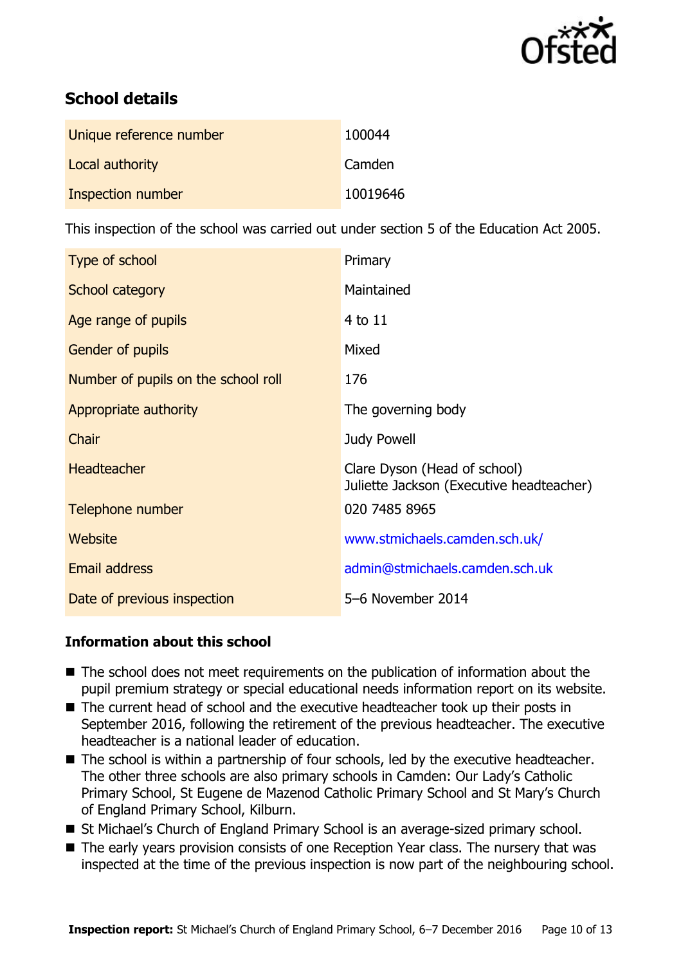

# **School details**

| Unique reference number | 100044   |
|-------------------------|----------|
| Local authority         | Camden   |
| Inspection number       | 10019646 |

This inspection of the school was carried out under section 5 of the Education Act 2005.

| Type of school                      | Primary                                                                  |
|-------------------------------------|--------------------------------------------------------------------------|
| School category                     | Maintained                                                               |
| Age range of pupils                 | 4 to 11                                                                  |
| Gender of pupils                    | Mixed                                                                    |
| Number of pupils on the school roll | 176                                                                      |
| Appropriate authority               | The governing body                                                       |
| <b>Chair</b>                        | Judy Powell                                                              |
| <b>Headteacher</b>                  | Clare Dyson (Head of school)<br>Juliette Jackson (Executive headteacher) |
| Telephone number                    | 020 7485 8965                                                            |
| Website                             | www.stmichaels.camden.sch.uk/                                            |
| Email address                       | admin@stmichaels.camden.sch.uk                                           |
| Date of previous inspection         | 5-6 November 2014                                                        |

### **Information about this school**

- The school does not meet requirements on the publication of information about the pupil premium strategy or special educational needs information report on its website.
- The current head of school and the executive headteacher took up their posts in September 2016, following the retirement of the previous headteacher. The executive headteacher is a national leader of education.
- The school is within a partnership of four schools, led by the executive headteacher. The other three schools are also primary schools in Camden: Our Lady's Catholic Primary School, St Eugene de Mazenod Catholic Primary School and St Mary's Church of England Primary School, Kilburn.
- St Michael's Church of England Primary School is an average-sized primary school.
- The early years provision consists of one Reception Year class. The nursery that was inspected at the time of the previous inspection is now part of the neighbouring school.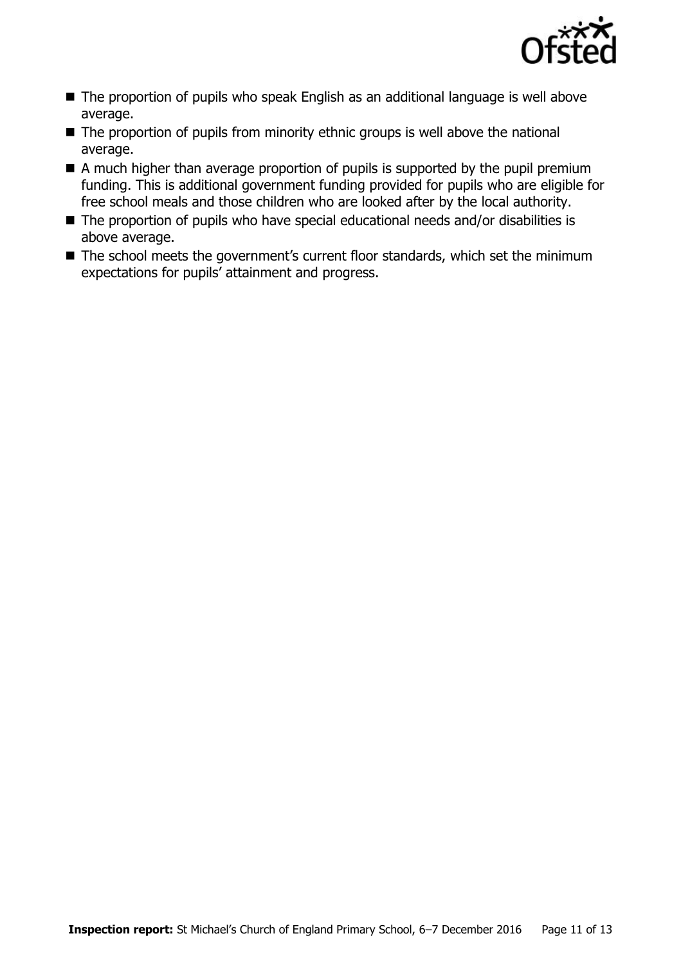

- The proportion of pupils who speak English as an additional language is well above average.
- The proportion of pupils from minority ethnic groups is well above the national average.
- A much higher than average proportion of pupils is supported by the pupil premium funding. This is additional government funding provided for pupils who are eligible for free school meals and those children who are looked after by the local authority.
- The proportion of pupils who have special educational needs and/or disabilities is above average.
- The school meets the government's current floor standards, which set the minimum expectations for pupils' attainment and progress.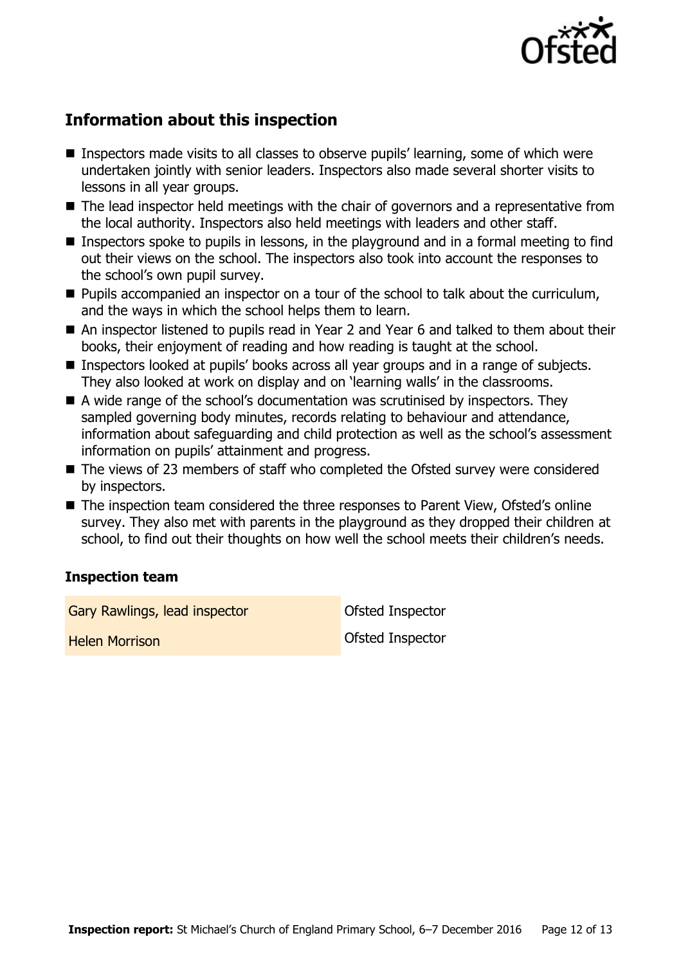

# **Information about this inspection**

- Inspectors made visits to all classes to observe pupils' learning, some of which were undertaken jointly with senior leaders. Inspectors also made several shorter visits to lessons in all year groups.
- The lead inspector held meetings with the chair of governors and a representative from the local authority. Inspectors also held meetings with leaders and other staff.
- Inspectors spoke to pupils in lessons, in the playground and in a formal meeting to find out their views on the school. The inspectors also took into account the responses to the school's own pupil survey.
- **Pupils accompanied an inspector on a tour of the school to talk about the curriculum,** and the ways in which the school helps them to learn.
- An inspector listened to pupils read in Year 2 and Year 6 and talked to them about their books, their enjoyment of reading and how reading is taught at the school.
- Inspectors looked at pupils' books across all year groups and in a range of subjects. They also looked at work on display and on 'learning walls' in the classrooms.
- A wide range of the school's documentation was scrutinised by inspectors. They sampled governing body minutes, records relating to behaviour and attendance, information about safeguarding and child protection as well as the school's assessment information on pupils' attainment and progress.
- The views of 23 members of staff who completed the Ofsted survey were considered by inspectors.
- The inspection team considered the three responses to Parent View, Ofsted's online survey. They also met with parents in the playground as they dropped their children at school, to find out their thoughts on how well the school meets their children's needs.

### **Inspection team**

Gary Rawlings, lead inspector **Cary Constant Constant Constant** Ofsted Inspector

**Helen Morrison Contact Contact Contact Contact Contact Contact Contact Contact Contact Contact Contact Contact Contact Contact Contact Contact Contact Contact Contact Contact Contact Contact Contact Contact Contact Contac**